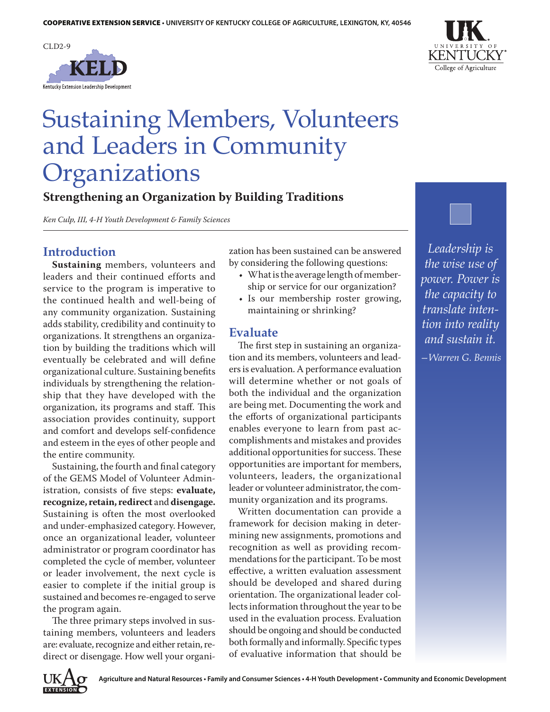



# Sustaining Members, Volunteers and Leaders in Community Organizations

### **Strengthening an Organization by Building Traditions**

*Ken Culp, III, 4-H Youth Development & Family Sciences*

#### **Introduction**

**Sustaining** members, volunteers and leaders and their continued efforts and service to the program is imperative to the continued health and well-being of any community organization. Sustaining adds stability, credibility and continuity to organizations. It strengthens an organization by building the traditions which will eventually be celebrated and will define organizational culture. Sustaining benefits individuals by strengthening the relationship that they have developed with the organization, its programs and staff. This association provides continuity, support and comfort and develops self-confidence and esteem in the eyes of other people and the entire community.

Sustaining, the fourth and final category of the GEMS Model of Volunteer Administration, consists of five steps: **evaluate, recognize, retain, redirect** and **disengage.**  Sustaining is often the most overlooked and under-emphasized category. However, once an organizational leader, volunteer administrator or program coordinator has completed the cycle of member, volunteer or leader involvement, the next cycle is easier to complete if the initial group is sustained and becomes re-engaged to serve the program again.

The three primary steps involved in sustaining members, volunteers and leaders are: evaluate, recognize and either retain, redirect or disengage. How well your organization has been sustained can be answered by considering the following questions:

- What is the average length of membership or service for our organization?
- Is our membership roster growing, maintaining or shrinking?

#### **Evaluate**

The first step in sustaining an organization and its members, volunteers and leaders is evaluation. A performance evaluation will determine whether or not goals of both the individual and the organization are being met. Documenting the work and the efforts of organizational participants enables everyone to learn from past accomplishments and mistakes and provides additional opportunities for success. These opportunities are important for members, volunteers, leaders, the organizational leader or volunteer administrator, the community organization and its programs.

Written documentation can provide a framework for decision making in determining new assignments, promotions and recognition as well as providing recommendations for the participant. To be most effective, a written evaluation assessment should be developed and shared during orientation. The organizational leader collects information throughout the year to be used in the evaluation process. Evaluation should be ongoing and should be conducted both formally and informally. Specific types of evaluative information that should be

*Leadership is the wise use of power. Power is the capacity to translate intention into reality and sustain it. —Warren G. Bennis*

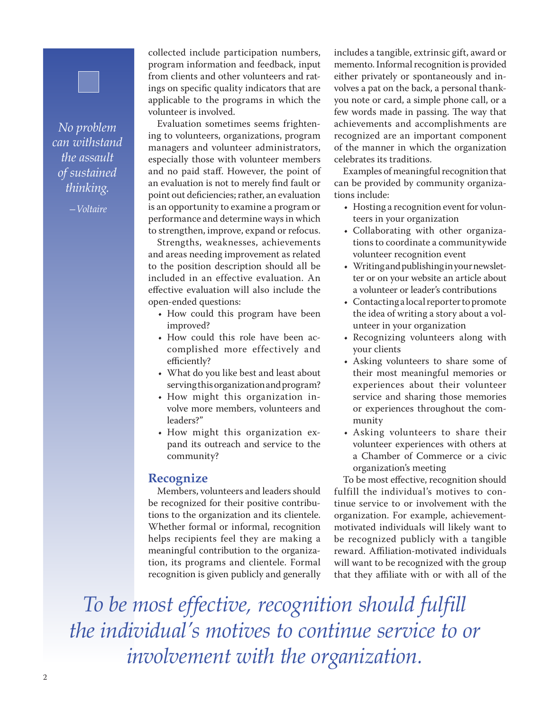## *No problem can withstand the assault of sustained thinking.*

*—Voltaire*

collected include participation numbers, program information and feedback, input from clients and other volunteers and ratings on specific quality indicators that are applicable to the programs in which the volunteer is involved.

Evaluation sometimes seems frightening to volunteers, organizations, program managers and volunteer administrators, especially those with volunteer members and no paid staff. However, the point of an evaluation is not to merely find fault or point out deficiencies; rather, an evaluation is an opportunity to examine a program or performance and determine ways in which to strengthen, improve, expand or refocus.

Strengths, weaknesses, achievements and areas needing improvement as related to the position description should all be included in an effective evaluation. An effective evaluation will also include the open-ended questions:

- How could this program have been improved?
- How could this role have been accomplished more effectively and efficiently?
- What do you like best and least about serving this organization and program?
- How might this organization involve more members, volunteers and leaders?"
- How might this organization expand its outreach and service to the community?

#### **Recognize**

Members, volunteers and leaders should be recognized for their positive contributions to the organization and its clientele. Whether formal or informal, recognition helps recipients feel they are making a meaningful contribution to the organization, its programs and clientele. Formal recognition is given publicly and generally

includes a tangible, extrinsic gift, award or memento. Informal recognition is provided either privately or spontaneously and involves a pat on the back, a personal thankyou note or card, a simple phone call, or a few words made in passing. The way that achievements and accomplishments are recognized are an important component of the manner in which the organization celebrates its traditions.

Examples of meaningful recognition that can be provided by community organizations include:

- Hosting a recognition event for volunteers in your organization
- • Collaborating with other organizations to coordinate a communitywide volunteer recognition event
- • Writing and publishing in your newsletter or on your website an article about a volunteer or leader's contributions
- Contacting a local reporter to promote the idea of writing a story about a volunteer in your organization
- • Recognizing volunteers along with your clients
- Asking volunteers to share some of their most meaningful memories or experiences about their volunteer service and sharing those memories or experiences throughout the community
- • Asking volunteers to share their volunteer experiences with others at a Chamber of Commerce or a civic organization's meeting

To be most effective, recognition should fulfill the individual's motives to continue service to or involvement with the organization. For example, achievementmotivated individuals will likely want to be recognized publicly with a tangible reward. Affiliation-motivated individuals will want to be recognized with the group that they affiliate with or with all of the

*To be most effective, recognition should fulfill the individual's motives to continue service to or involvement with the organization.*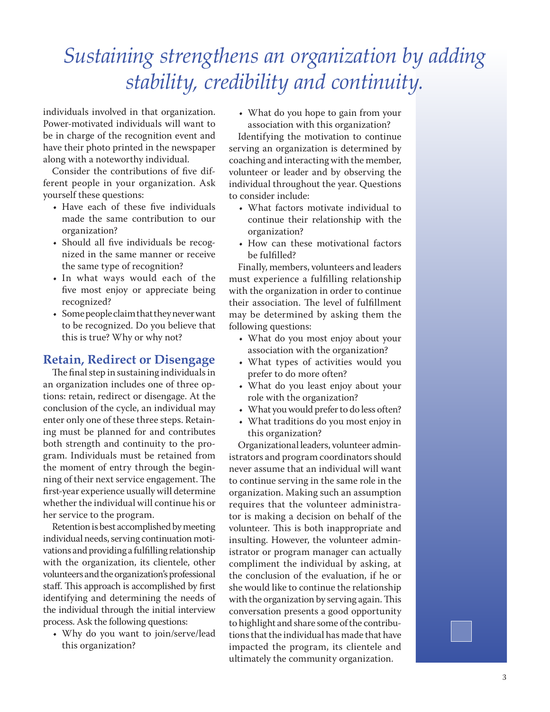## *Sustaining strengthens an organization by adding stability, credibility and continuity.*

individuals involved in that organization. Power-motivated individuals will want to be in charge of the recognition event and have their photo printed in the newspaper along with a noteworthy individual.

Consider the contributions of five different people in your organization. Ask yourself these questions:

- Have each of these five individuals made the same contribution to our organization?
- Should all five individuals be recognized in the same manner or receive the same type of recognition?
- • In what ways would each of the five most enjoy or appreciate being recognized?
- • Some people claim that they never want to be recognized. Do you believe that this is true? Why or why not?

#### **Retain, Redirect or Disengage**

The final step in sustaining individuals in an organization includes one of three options: retain, redirect or disengage. At the conclusion of the cycle, an individual may enter only one of these three steps. Retaining must be planned for and contributes both strength and continuity to the program. Individuals must be retained from the moment of entry through the beginning of their next service engagement. The first-year experience usually will determine whether the individual will continue his or her service to the program.

Retention is best accomplished by meeting individual needs, serving continuation motivations and providing a fulfilling relationship with the organization, its clientele, other volunteers and the organization's professional staff. This approach is accomplished by first identifying and determining the needs of the individual through the initial interview process. Ask the following questions:

• Why do you want to join/serve/lead this organization?

• What do you hope to gain from your association with this organization?

Identifying the motivation to continue serving an organization is determined by coaching and interacting with the member, volunteer or leader and by observing the individual throughout the year. Questions to consider include:

- • What factors motivate individual to continue their relationship with the organization?
- How can these motivational factors be fulfilled?

Finally, members, volunteers and leaders must experience a fulfilling relationship with the organization in order to continue their association. The level of fulfillment may be determined by asking them the following questions:

- What do you most enjoy about your association with the organization?
- • What types of activities would you prefer to do more often?
- • What do you least enjoy about your role with the organization?
- What you would prefer to do less often?
- • What traditions do you most enjoy in this organization?

Organizational leaders, volunteer administrators and program coordinators should never assume that an individual will want to continue serving in the same role in the organization. Making such an assumption requires that the volunteer administrator is making a decision on behalf of the volunteer. This is both inappropriate and insulting. However, the volunteer administrator or program manager can actually compliment the individual by asking, at the conclusion of the evaluation, if he or she would like to continue the relationship with the organization by serving again. This conversation presents a good opportunity to highlight and share some of the contributions that the individual has made that have impacted the program, its clientele and ultimately the community organization.